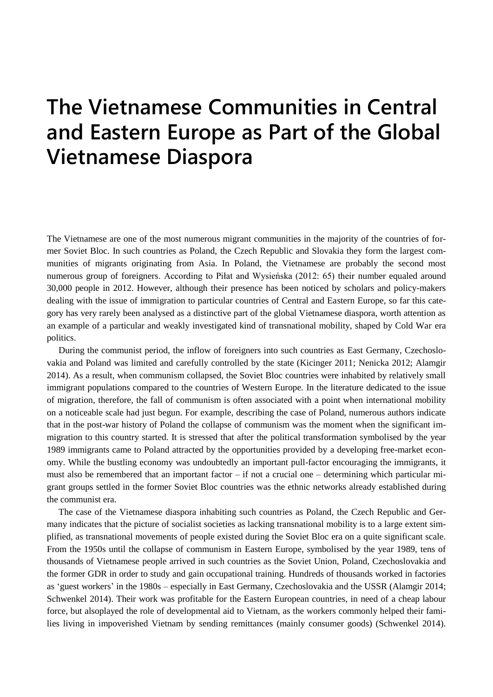## **The Vietnamese Communities in Central and Eastern Europe as Part of the Global Vietnamese Diaspora**

The Vietnamese are one of the most numerous migrant communities in the majority of the countries of former Soviet Bloc. In such countries as Poland, the Czech Republic and Slovakia they form the largest communities of migrants originating from Asia. In Poland, the Vietnamese are probably the second most numerous group of foreigners. According to Piłat and Wysieńska (2012: 65) their number equaled around 30,000 people in 2012. However, although their presence has been noticed by scholars and policy-makers dealing with the issue of immigration to particular countries of Central and Eastern Europe, so far this category has very rarely been analysed as a distinctive part of the global Vietnamese diaspora, worth attention as an example of a particular and weakly investigated kind of transnational mobility, shaped by Cold War era politics.

During the communist period, the inflow of foreigners into such countries as East Germany, Czechoslovakia and Poland was limited and carefully controlled by the state (Kicinger 2011; Nenicka 2012; Alamgir 2014). As a result, when communism collapsed, the Soviet Bloc countries were inhabited by relatively small immigrant populations compared to the countries of Western Europe. In the literature dedicated to the issue of migration, therefore, the fall of communism is often associated with a point when international mobility on a noticeable scale had just begun. For example, describing the case of Poland, numerous authors indicate that in the post-war history of Poland the collapse of communism was the moment when the significant immigration to this country started. It is stressed that after the political transformation symbolised by the year 1989 immigrants came to Poland attracted by the opportunities provided by a developing free-market economy. While the bustling economy was undoubtedly an important pull-factor encouraging the immigrants, it must also be remembered that an important factor – if not a crucial one – determining which particular migrant groups settled in the former Soviet Bloc countries was the ethnic networks already established during the communist era.

The case of the Vietnamese diaspora inhabiting such countries as Poland, the Czech Republic and Germany indicates that the picture of socialist societies as lacking transnational mobility is to a large extent simplified, as transnational movements of people existed during the Soviet Bloc era on a quite significant scale. From the 1950s until the collapse of communism in Eastern Europe, symbolised by the year 1989, tens of thousands of Vietnamese people arrived in such countries as the Soviet Union, Poland, Czechoslovakia and the former GDR in order to study and gain occupational training. Hundreds of thousands worked in factories as 'guest workers' in the 1980s – especially in East Germany, Czechoslovakia and the USSR (Alamgir 2014; Schwenkel 2014). Their work was profitable for the Eastern European countries, in need of a cheap labour force, but alsoplayed the role of developmental aid to Vietnam, as the workers commonly helped their families living in impoverished Vietnam by sending remittances (mainly consumer goods) (Schwenkel 2014).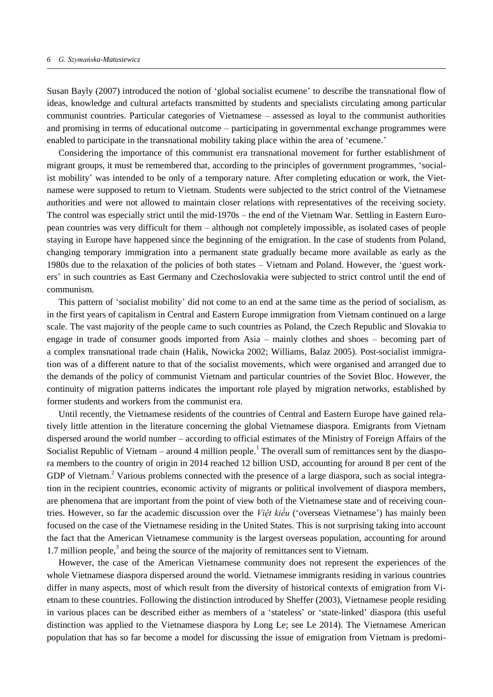Susan Bayly (2007) introduced the notion of 'global socialist ecumene' to describe the transnational flow of ideas, knowledge and cultural artefacts transmitted by students and specialists circulating among particular communist countries. Particular categories of Vietnamese – assessed as loyal to the communist authorities and promising in terms of educational outcome – participating in governmental exchange programmes were enabled to participate in the transnational mobility taking place within the area of 'ecumene.'

Considering the importance of this communist era transnational movement for further establishment of migrant groups, it must be remembered that, according to the principles of government programmes, 'socialist mobility' was intended to be only of a temporary nature. After completing education or work, the Vietnamese were supposed to return to Vietnam. Students were subjected to the strict control of the Vietnamese authorities and were not allowed to maintain closer relations with representatives of the receiving society. The control was especially strict until the mid-1970s – the end of the Vietnam War. Settling in Eastern European countries was very difficult for them – although not completely impossible, as isolated cases of people staying in Europe have happened since the beginning of the emigration. In the case of students from Poland, changing temporary immigration into a permanent state gradually became more available as early as the 1980s due to the relaxation of the policies of both states – Vietnam and Poland. However, the 'guest workers' in such countries as East Germany and Czechoslovakia were subjected to strict control until the end of communism.

This pattern of 'socialist mobility' did not come to an end at the same time as the period of socialism, as in the first years of capitalism in Central and Eastern Europe immigration from Vietnam continued on a large scale. The vast majority of the people came to such countries as Poland, the Czech Republic and Slovakia to engage in trade of consumer goods imported from Asia – mainly clothes and shoes – becoming part of a complex transnational trade chain (Halik, Nowicka 2002; Williams, Balaz 2005). Post-socialist immigration was of a different nature to that of the socialist movements, which were organised and arranged due to the demands of the policy of communist Vietnam and particular countries of the Soviet Bloc. However, the continuity of migration patterns indicates the important role played by migration networks, established by former students and workers from the communist era.

Until recently, the Vietnamese residents of the countries of Central and Eastern Europe have gained relatively little attention in the literature concerning the global Vietnamese diaspora. Emigrants from Vietnam dispersed around the world number – according to official estimates of the Ministry of Foreign Affairs of the Socialist Republic of Vietnam – around 4 million people.<sup>1</sup> The overall sum of remittances sent by the diaspora members to the country of origin in 2014 reached 12 billion USD, accounting for around 8 per cent of the GDP of Vietnam.<sup>2</sup> Various problems connected with the presence of a large diaspora, such as social integration in the recipient countries, economic activity of migrants or political involvement of diaspora members, are phenomena that are important from the point of view both of the Vietnamese state and of receiving countries. However, so far the academic discussion over the *Viêt kiều* ('overseas Vietnamese') has mainly been focused on the case of the Vietnamese residing in the United States. This is not surprising taking into account the fact that the American Vietnamese community is the largest overseas population, accounting for around 1.7 million people, $3$  and being the source of the majority of remittances sent to Vietnam.

However, the case of the American Vietnamese community does not represent the experiences of the whole Vietnamese diaspora dispersed around the world. Vietnamese immigrants residing in various countries differ in many aspects, most of which result from the diversity of historical contexts of emigration from Vietnam to these countries. Following the distinction introduced by Sheffer (2003), Vietnamese people residing in various places can be described either as members of a 'stateless' or 'state-linked' diaspora (this useful distinction was applied to the Vietnamese diaspora by Long Le; see Le 2014). The Vietnamese American population that has so far become a model for discussing the issue of emigration from Vietnam is predomi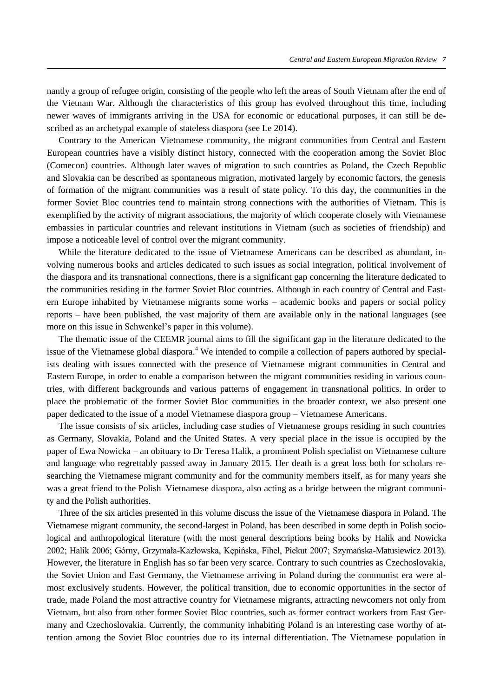nantly a group of refugee origin, consisting of the people who left the areas of South Vietnam after the end of the Vietnam War. Although the characteristics of this group has evolved throughout this time, including newer waves of immigrants arriving in the USA for economic or educational purposes, it can still be described as an archetypal example of stateless diaspora (see Le 2014).

Contrary to the American–Vietnamese community, the migrant communities from Central and Eastern European countries have a visibly distinct history, connected with the cooperation among the Soviet Bloc (Comecon) countries. Although later waves of migration to such countries as Poland, the Czech Republic and Slovakia can be described as spontaneous migration, motivated largely by economic factors, the genesis of formation of the migrant communities was a result of state policy. To this day, the communities in the former Soviet Bloc countries tend to maintain strong connections with the authorities of Vietnam. This is exemplified by the activity of migrant associations, the majority of which cooperate closely with Vietnamese embassies in particular countries and relevant institutions in Vietnam (such as societies of friendship) and impose a noticeable level of control over the migrant community.

While the literature dedicated to the issue of Vietnamese Americans can be described as abundant, involving numerous books and articles dedicated to such issues as social integration, political involvement of the diaspora and its transnational connections, there is a significant gap concerning the literature dedicated to the communities residing in the former Soviet Bloc countries. Although in each country of Central and Eastern Europe inhabited by Vietnamese migrants some works – academic books and papers or social policy reports – have been published, the vast majority of them are available only in the national languages (see more on this issue in Schwenkel's paper in this volume).

The thematic issue of the CEEMR journal aims to fill the significant gap in the literature dedicated to the issue of the Vietnamese global diaspora.<sup>4</sup> We intended to compile a collection of papers authored by specialists dealing with issues connected with the presence of Vietnamese migrant communities in Central and Eastern Europe, in order to enable a comparison between the migrant communities residing in various countries, with different backgrounds and various patterns of engagement in transnational politics. In order to place the problematic of the former Soviet Bloc communities in the broader context, we also present one paper dedicated to the issue of a model Vietnamese diaspora group – Vietnamese Americans.

The issue consists of six articles, including case studies of Vietnamese groups residing in such countries as Germany, Slovakia, Poland and the United States. A very special place in the issue is occupied by the paper of Ewa Nowicka – an obituary to Dr Teresa Halik, a prominent Polish specialist on Vietnamese culture and language who regrettably passed away in January 2015. Her death is a great loss both for scholars researching the Vietnamese migrant community and for the community members itself, as for many years she was a great friend to the Polish–Vietnamese diaspora, also acting as a bridge between the migrant community and the Polish authorities.

Three of the six articles presented in this volume discuss the issue of the Vietnamese diaspora in Poland. The Vietnamese migrant community, the second-largest in Poland, has been described in some depth in Polish sociological and anthropological literature (with the most general descriptions being books by Halik and Nowicka 2002; Halik 2006; Górny, Grzymała-Kazłowska, Kępińska, Fihel, Piekut 2007; Szymańska-Matusiewicz 2013). However, the literature in English has so far been very scarce. Contrary to such countries as Czechoslovakia, the Soviet Union and East Germany, the Vietnamese arriving in Poland during the communist era were almost exclusively students. However, the political transition, due to economic opportunities in the sector of trade, made Poland the most attractive country for Vietnamese migrants, attracting newcomers not only from Vietnam, but also from other former Soviet Bloc countries, such as former contract workers from East Germany and Czechoslovakia. Currently, the community inhabiting Poland is an interesting case worthy of attention among the Soviet Bloc countries due to its internal differentiation. The Vietnamese population in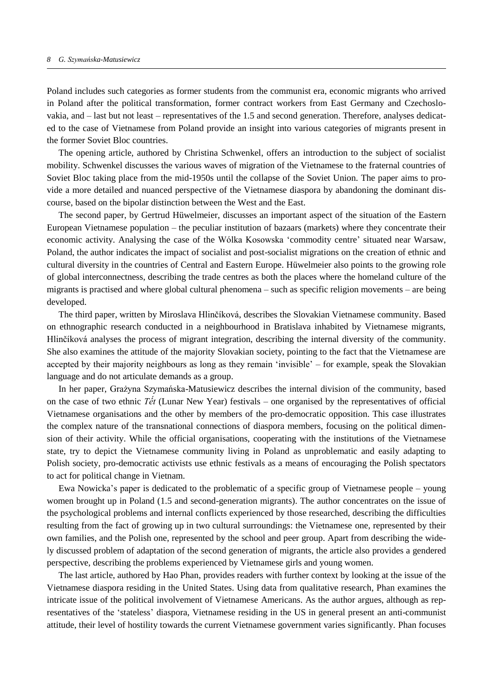Poland includes such categories as former students from the communist era, economic migrants who arrived in Poland after the political transformation, former contract workers from East Germany and Czechoslovakia, and – last but not least – representatives of the 1.5 and second generation. Therefore, analyses dedicated to the case of Vietnamese from Poland provide an insight into various categories of migrants present in the former Soviet Bloc countries.

The opening article, authored by Christina Schwenkel, offers an introduction to the subject of socialist mobility. Schwenkel discusses the various waves of migration of the Vietnamese to the fraternal countries of Soviet Bloc taking place from the mid-1950s until the collapse of the Soviet Union. The paper aims to provide a more detailed and nuanced perspective of the Vietnamese diaspora by abandoning the dominant discourse, based on the bipolar distinction between the West and the East.

The second paper, by Gertrud Hüwelmeier, discusses an important aspect of the situation of the Eastern European Vietnamese population – the peculiar institution of bazaars (markets) where they concentrate their economic activity. Analysing the case of the Wólka Kosowska 'commodity centre' situated near Warsaw, Poland, the author indicates the impact of socialist and post-socialist migrations on the creation of ethnic and cultural diversity in the countries of Central and Eastern Europe. Hüwelmeier also points to the growing role of global interconnectness, describing the trade centres as both the places where the homeland culture of the migrants is practised and where global cultural phenomena – such as specific religion movements – are being developed.

The third paper, written by Miroslava Hlinčíková, describes the Slovakian Vietnamese community. Based on ethnographic research conducted in a neighbourhood in Bratislava inhabited by Vietnamese migrants, Hlinčíková analyses the process of migrant integration, describing the internal diversity of the community. She also examines the attitude of the majority Slovakian society, pointing to the fact that the Vietnamese are accepted by their majority neighbours as long as they remain 'invisible' – for example, speak the Slovakian language and do not articulate demands as a group.

In her paper, Grażyna Szymańska-Matusiewicz describes the internal division of the community, based on the case of two ethnic *Tết* (Lunar New Year) festivals – one organised by the representatives of official Vietnamese organisations and the other by members of the pro-democratic opposition. This case illustrates the complex nature of the transnational connections of diaspora members, focusing on the political dimension of their activity. While the official organisations, cooperating with the institutions of the Vietnamese state, try to depict the Vietnamese community living in Poland as unproblematic and easily adapting to Polish society, pro-democratic activists use ethnic festivals as a means of encouraging the Polish spectators to act for political change in Vietnam.

Ewa Nowicka's paper is dedicated to the problematic of a specific group of Vietnamese people – young women brought up in Poland (1.5 and second-generation migrants). The author concentrates on the issue of the psychological problems and internal conflicts experienced by those researched, describing the difficulties resulting from the fact of growing up in two cultural surroundings: the Vietnamese one, represented by their own families, and the Polish one, represented by the school and peer group. Apart from describing the widely discussed problem of adaptation of the second generation of migrants, the article also provides a gendered perspective, describing the problems experienced by Vietnamese girls and young women.

The last article, authored by Hao Phan, provides readers with further context by looking at the issue of the Vietnamese diaspora residing in the United States. Using data from qualitative research, Phan examines the intricate issue of the political involvement of Vietnamese Americans. As the author argues, although as representatives of the 'stateless' diaspora, Vietnamese residing in the US in general present an anti-communist attitude, their level of hostility towards the current Vietnamese government varies significantly. Phan focuses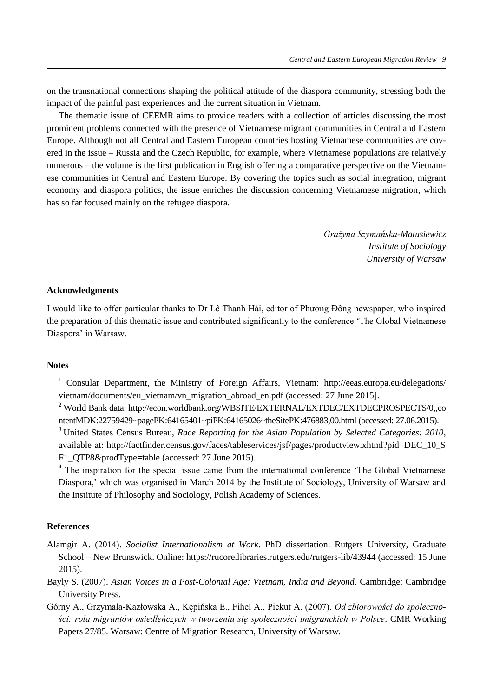on the transnational connections shaping the political attitude of the diaspora community, stressing both the impact of the painful past experiences and the current situation in Vietnam.

The thematic issue of CEEMR aims to provide readers with a collection of articles discussing the most prominent problems connected with the presence of Vietnamese migrant communities in Central and Eastern Europe. Although not all Central and Eastern European countries hosting Vietnamese communities are covered in the issue – Russia and the Czech Republic, for example, where Vietnamese populations are relatively numerous – the volume is the first publication in English offering a comparative perspective on the Vietnamese communities in Central and Eastern Europe. By covering the topics such as social integration, migrant economy and diaspora politics, the issue enriches the discussion concerning Vietnamese migration, which has so far focused mainly on the refugee diaspora.

> *Grażyna Szymańska-Matusiewicz Institute of Sociology University of Warsaw*

## **Acknowledgments**

I would like to offer particular thanks to Dr Lê Thanh Hai, editor of Phuong Đông newspaper, who inspired the preparation of this thematic issue and contributed significantly to the conference 'The Global Vietnamese Diaspora' in Warsaw.

## **Notes**

<sup>1</sup> Consular Department, the Ministry of Foreign Affairs, Vietnam: http://eeas.europa.eu/delegations/ vietnam/documents/eu\_vietnam/vn\_migration\_abroad\_en.pdf (accessed: 27 June 2015].

<sup>2</sup> World Bank data: http://econ.worldbank.org/WBSITE/EXTERNAL/EXTDEC/EXTDECPROSPECTS/0,,co ntentMDK:22759429~pagePK:64165401~piPK:64165026~theSitePK:476883,00.html (accessed: 27.06.2015).

<sup>3</sup>United States Census Bureau, *Race Reporting for the Asian Population by Selected Categories: 2010*, available at: [http://factfinder.census.gov/faces/tableservices/jsf/pages/productview.xhtml?pid=DEC\\_10\\_S](http://factfinder.census.gov/faces/tableservices/jsf/pages/productview.xhtml?pid=DEC_10_SF1_QTP8&prodType=table) F1\_OTP8&prodType=table (accessed: 27 June 2015).

<sup>4</sup> The inspiration for the special issue came from the international conference 'The Global Vietnamese Diaspora,' which was organised in March 2014 by the Institute of Sociology, University of Warsaw and the Institute of Philosophy and Sociology, Polish Academy of Sciences.

## **References**

- Alamgir A. (2014). *Socialist Internationalism at Work*. PhD dissertation. [Rutgers University,](https://rucore.libraries.rutgers.edu/search/results/?key=root&q1=Rutgers+University&q1field=mods%3Aname) Graduate School – New Brunswick. Online: https://rucore.libraries.rutgers.edu/rutgers-lib/43944 (accessed: 15 June 2015).
- Bayly S. (2007). *Asian Voices in a Post-Colonial Age: Vietnam, India and Beyond*. Cambridge: Cambridge University Press.
- Górny A., Grzymała-Kazłowska A., Kępińska E., Fihel A., Piekut A. (2007). *Od zbiorowości do społeczności: rola migrantów osiedleńczych w tworzeniu się społeczności imigranckich w Polsce*. CMR Working Papers 27/85. Warsaw: Centre of Migration Research, University of Warsaw.